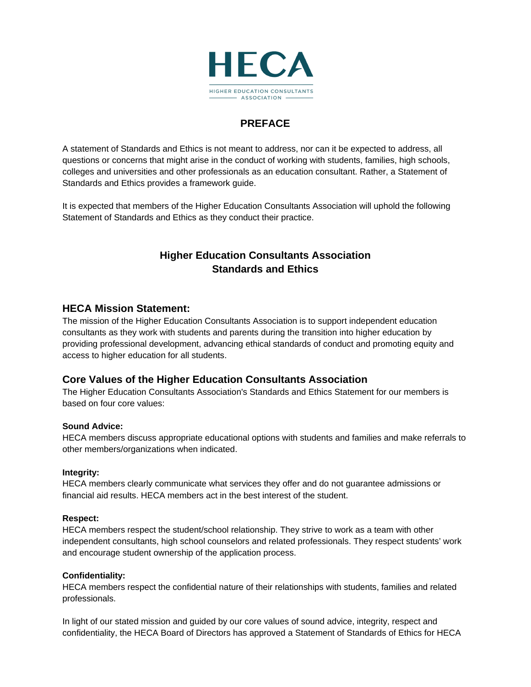

# **PREFACE**

A statement of Standards and Ethics is not meant to address, nor can it be expected to address, all questions or concerns that might arise in the conduct of working with students, families, high schools, colleges and universities and other professionals as an education consultant. Rather, a Statement of Standards and Ethics provides a framework guide.

It is expected that members of the Higher Education Consultants Association will uphold the following Statement of Standards and Ethics as they conduct their practice.

# **Higher Education Consultants Association Standards and Ethics**

# **HECA Mission Statement:**

The mission of the Higher Education Consultants Association is to support independent education consultants as they work with students and parents during the transition into higher education by providing professional development, advancing ethical standards of conduct and promoting equity and access to higher education for all students.

# **Core Values of the Higher Education Consultants Association**

The Higher Education Consultants Association's Standards and Ethics Statement for our members is based on four core values:

## **Sound Advice:**

HECA members discuss appropriate educational options with students and families and make referrals to other members/organizations when indicated.

## **Integrity:**

HECA members clearly communicate what services they offer and do not guarantee admissions or financial aid results. HECA members act in the best interest of the student.

#### **Respect:**

HECA members respect the student/school relationship. They strive to work as a team with other independent consultants, high school counselors and related professionals. They respect students' work and encourage student ownership of the application process.

#### **Confidentiality:**

HECA members respect the confidential nature of their relationships with students, families and related professionals.

In light of our stated mission and guided by our core values of sound advice, integrity, respect and confidentiality, the HECA Board of Directors has approved a Statement of Standards of Ethics for HECA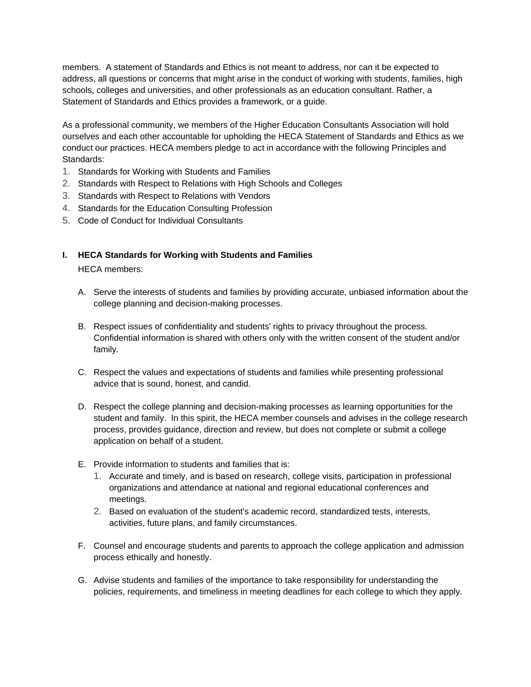members. A statement of Standards and Ethics is not meant to address, nor can it be expected to address, all questions or concerns that might arise in the conduct of working with students, families, high schools, colleges and universities, and other professionals as an education consultant. Rather, a Statement of Standards and Ethics provides a framework, or a guide.

As a professional community, we members of the Higher Education Consultants Association will hold ourselves and each other accountable for upholding the HECA Statement of Standards and Ethics as we conduct our practices. HECA members pledge to act in accordance with the following Principles and Standards:

- 1. Standards for Working with Students and Families
- 2. Standards with Respect to Relations with High Schools and Colleges
- 3. Standards with Respect to Relations with Vendors
- 4. Standards for the Education Consulting Profession
- 5. Code of Conduct for Individual Consultants

# **I. HECA Standards for Working with Students and Families**

HECA members:

- A. Serve the interests of students and families by providing accurate, unbiased information about the college planning and decision-making processes.
- B. Respect issues of confidentiality and students' rights to privacy throughout the process. Confidential information is shared with others only with the written consent of the student and/or family.
- C. Respect the values and expectations of students and families while presenting professional advice that is sound, honest, and candid.
- D. Respect the college planning and decision-making processes as learning opportunities for the student and family. In this spirit, the HECA member counsels and advises in the college research process, provides guidance, direction and review, but does not complete or submit a college application on behalf of a student.
- E. Provide information to students and families that is:
	- 1. Accurate and timely, and is based on research, college visits, participation in professional organizations and attendance at national and regional educational conferences and meetings.
	- 2. Based on evaluation of the student's academic record, standardized tests, interests, activities, future plans, and family circumstances.
- F. Counsel and encourage students and parents to approach the college application and admission process ethically and honestly.
- G. Advise students and families of the importance to take responsibility for understanding the policies, requirements, and timeliness in meeting deadlines for each college to which they apply.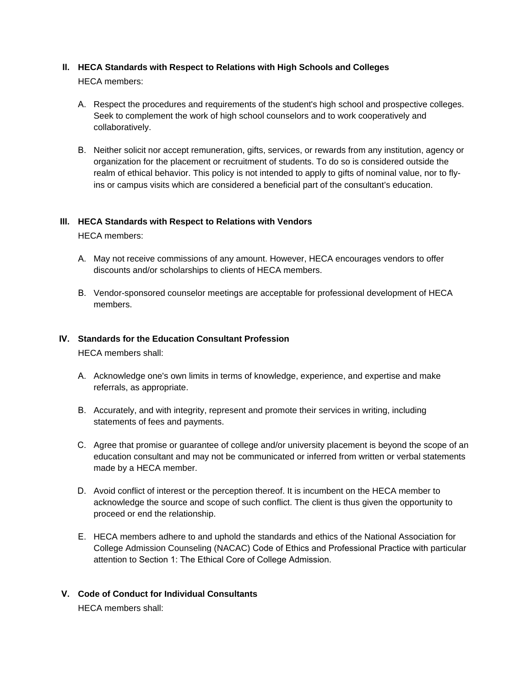## **II. HECA Standards with Respect to Relations with High Schools and Colleges**

HECA members:

- A. Respect the procedures and requirements of the student's high school and prospective colleges. Seek to complement the work of high school counselors and to work cooperatively and collaboratively.
- B. Neither solicit nor accept remuneration, gifts, services, or rewards from any institution, agency or organization for the placement or recruitment of students. To do so is considered outside the realm of ethical behavior. This policy is not intended to apply to gifts of nominal value, nor to flyins or campus visits which are considered a beneficial part of the consultant's education.

#### **III. HECA Standards with Respect to Relations with Vendors**

HECA members:

- A. May not receive commissions of any amount. However, HECA encourages vendors to offer discounts and/or scholarships to clients of HECA members.
- B. Vendor-sponsored counselor meetings are acceptable for professional development of HECA members.

#### **IV. Standards for the Education Consultant Profession**

HECA members shall:

- A. Acknowledge one's own limits in terms of knowledge, experience, and expertise and make referrals, as appropriate.
- B. Accurately, and with integrity, represent and promote their services in writing, including statements of fees and payments.
- C. Agree that promise or guarantee of college and/or university placement is beyond the scope of an education consultant and may not be communicated or inferred from written or verbal statements made by a HECA member.
- D. Avoid conflict of interest or the perception thereof. It is incumbent on the HECA member to acknowledge the source and scope of such conflict. The client is thus given the opportunity to proceed or end the relationship.
- E. HECA members adhere to and uphold the standards and ethics of the National Association for College Admission Counseling (NACAC) Code of Ethics and Professional Practice with particular attention to Section 1: The Ethical Core of College Admission.
- **V. Code of Conduct for Individual Consultants** HECA members shall: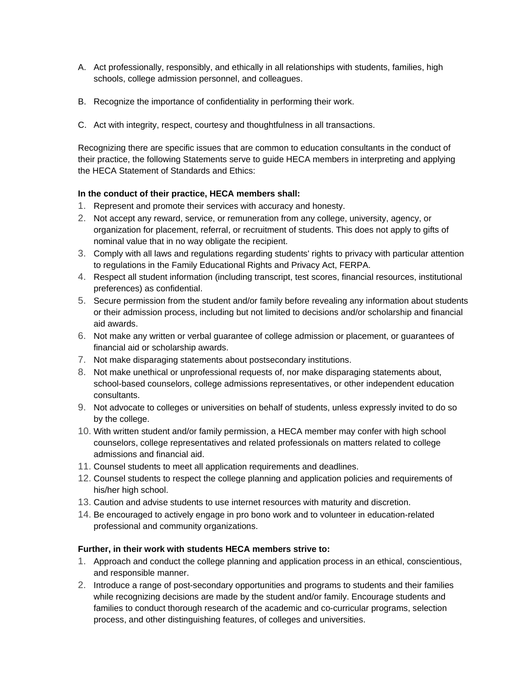- A. Act professionally, responsibly, and ethically in all relationships with students, families, high schools, college admission personnel, and colleagues.
- B. Recognize the importance of confidentiality in performing their work.
- C. Act with integrity, respect, courtesy and thoughtfulness in all transactions.

Recognizing there are specific issues that are common to education consultants in the conduct of their practice, the following Statements serve to guide HECA members in interpreting and applying the HECA Statement of Standards and Ethics:

## **In the conduct of their practice, HECA members shall:**

- 1. Represent and promote their services with accuracy and honesty.
- 2. Not accept any reward, service, or remuneration from any college, university, agency, or organization for placement, referral, or recruitment of students. This does not apply to gifts of nominal value that in no way obligate the recipient.
- 3. Comply with all laws and regulations regarding students' rights to privacy with particular attention to regulations in the Family Educational Rights and Privacy Act, FERPA.
- 4. Respect all student information (including transcript, test scores, financial resources, institutional preferences) as confidential.
- 5. Secure permission from the student and/or family before revealing any information about students or their admission process, including but not limited to decisions and/or scholarship and financial aid awards.
- 6. Not make any written or verbal guarantee of college admission or placement, or guarantees of financial aid or scholarship awards.
- 7. Not make disparaging statements about postsecondary institutions.
- 8. Not make unethical or unprofessional requests of, nor make disparaging statements about, school-based counselors, college admissions representatives, or other independent education consultants.
- 9. Not advocate to colleges or universities on behalf of students, unless expressly invited to do so by the college.
- 10. With written student and/or family permission, a HECA member may confer with high school counselors, college representatives and related professionals on matters related to college admissions and financial aid.
- 11. Counsel students to meet all application requirements and deadlines.
- 12. Counsel students to respect the college planning and application policies and requirements of his/her high school.
- 13. Caution and advise students to use internet resources with maturity and discretion.
- 14. Be encouraged to actively engage in pro bono work and to volunteer in education-related professional and community organizations.

## **Further, in their work with students HECA members strive to:**

- 1. Approach and conduct the college planning and application process in an ethical, conscientious, and responsible manner.
- 2. Introduce a range of post-secondary opportunities and programs to students and their families while recognizing decisions are made by the student and/or family. Encourage students and families to conduct thorough research of the academic and co-curricular programs, selection process, and other distinguishing features, of colleges and universities.